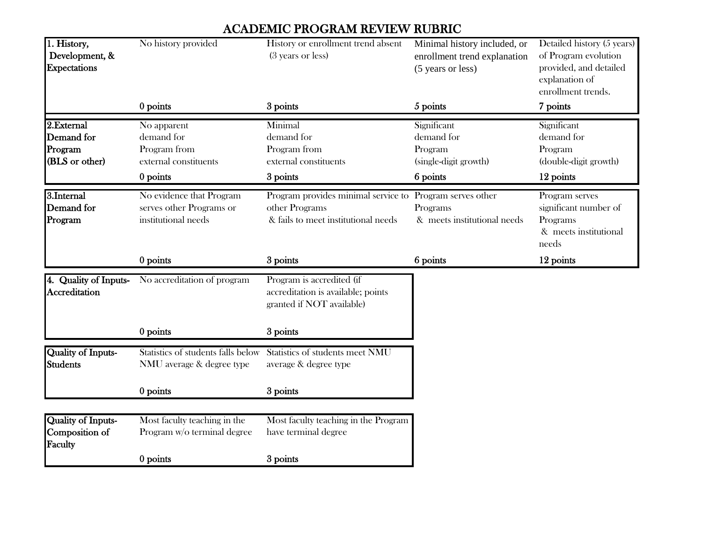## ACADEMIC PROGRAM REVIEW RUBRIC

| 1. History,<br>Development, &<br><b>Expectations</b>   | No history provided                                                              | History or enrollment trend absent<br>(3 years or less)                                                           | Minimal history included, or<br>enrollment trend explanation<br>(5 years or less) | Detailed history (5 years)<br>of Program evolution<br>provided, and detailed<br>explanation of<br>enrollment trends. |
|--------------------------------------------------------|----------------------------------------------------------------------------------|-------------------------------------------------------------------------------------------------------------------|-----------------------------------------------------------------------------------|----------------------------------------------------------------------------------------------------------------------|
|                                                        | 0 points                                                                         | 3 points                                                                                                          | 5 points                                                                          | 7 points                                                                                                             |
| 2.External<br>Demand for<br>Program<br>(BLS or other)  | No apparent<br>demand for<br>Program from<br>external constituents<br>$0$ points | Minimal<br>demand for<br>Program from<br>external constituents<br>3 points                                        | Significant<br>demand for<br>Program<br>(single-digit growth)<br>6 points         | Significant<br>demand for<br>Program<br>(double-digit growth)<br>12 points                                           |
| 3.Internal<br>Demand for<br>Program                    | No evidence that Program<br>serves other Programs or<br>institutional needs      | Program provides minimal service to Program serves other<br>other Programs<br>& fails to meet institutional needs | Programs<br>& meets institutional needs                                           | Program serves<br>significant number of<br>Programs<br>& meets institutional<br>needs                                |
|                                                        | $0$ points                                                                       | 3 points                                                                                                          | 6 points                                                                          | 12 points                                                                                                            |
| 4. Quality of Inputs-<br>Accreditation                 | No accreditation of program                                                      | Program is accredited (if<br>accreditation is available; points<br>granted if NOT available)                      |                                                                                   |                                                                                                                      |
|                                                        | 0 points                                                                         | 3 points                                                                                                          |                                                                                   |                                                                                                                      |
| <b>Quality of Inputs-</b><br><b>Students</b>           | Statistics of students falls below<br>NMU average & degree type                  | Statistics of students meet NMU<br>average & degree type                                                          |                                                                                   |                                                                                                                      |
|                                                        | 0 points                                                                         | 3 points                                                                                                          |                                                                                   |                                                                                                                      |
|                                                        |                                                                                  |                                                                                                                   |                                                                                   |                                                                                                                      |
| <b>Quality of Inputs-</b><br>Composition of<br>Faculty | Most faculty teaching in the<br>Program w/o terminal degree                      | Most faculty teaching in the Program<br>have terminal degree                                                      |                                                                                   |                                                                                                                      |
|                                                        |                                                                                  |                                                                                                                   |                                                                                   |                                                                                                                      |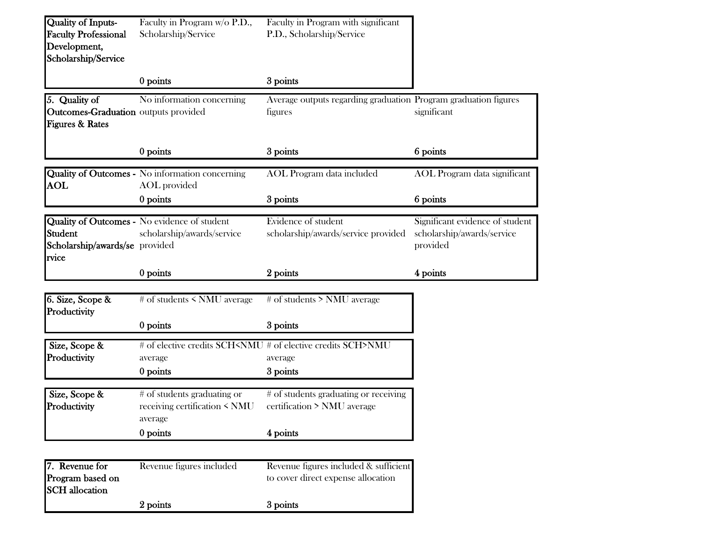| <b>Quality of Inputs-</b><br><b>Faculty Professional</b><br>Development,<br>Scholarship/Service | Faculty in Program w/o P.D.,<br>Scholarship/Service                           | Faculty in Program with significant<br>P.D., Scholarship/Service                                           |                                                                           |
|-------------------------------------------------------------------------------------------------|-------------------------------------------------------------------------------|------------------------------------------------------------------------------------------------------------|---------------------------------------------------------------------------|
|                                                                                                 | 0 points                                                                      | 3 points                                                                                                   |                                                                           |
| 5. Quality of<br>Outcomes-Graduation outputs provided<br><b>Figures &amp; Rates</b>             | No information concerning                                                     | Average outputs regarding graduation Program graduation figures<br>figures                                 | significant                                                               |
|                                                                                                 | 0 points                                                                      | 3 points                                                                                                   | 6 points                                                                  |
| $\boldsymbol{\mathrm{AOL}}$                                                                     | <b>Quality of Outcomes -</b> No information concerning<br><b>AOL</b> provided | <b>AOL</b> Program data included                                                                           | AOL Program data significant                                              |
|                                                                                                 | 0 points                                                                      | 3 points                                                                                                   | 6 points                                                                  |
| Student<br>Scholarship/awards/se provided<br>rvice                                              | Quality of Outcomes - No evidence of student<br>scholarship/awards/service    | Evidence of student<br>scholarship/awards/service provided                                                 | Significant evidence of student<br>scholarship/awards/service<br>provided |
|                                                                                                 | 0 points                                                                      | 2 points                                                                                                   | 4 points                                                                  |
| 6. Size, Scope &<br>Productivity                                                                | # of students < NMU average                                                   | # of students > NMU average                                                                                |                                                                           |
|                                                                                                 | 0 points                                                                      | 3 points                                                                                                   |                                                                           |
| Size, Scope &<br>Productivity                                                                   | average<br>0 points                                                           | # of elective credits SCH <nmu #="" credits="" elective="" of="" sch="">NMU<br/>average<br/>3 points</nmu> |                                                                           |
| Size, Scope &<br>Productivity                                                                   | # of students graduating or<br>receiving certification < NMU<br>average       | # of students graduating or receiving<br>certification > NMU average                                       |                                                                           |
|                                                                                                 | 0 points                                                                      | 4 points                                                                                                   |                                                                           |
|                                                                                                 |                                                                               |                                                                                                            |                                                                           |
| 7. Revenue for<br>Program based on                                                              | Revenue figures included                                                      | Revenue figures included & sufficient<br>to cover direct expense allocation                                |                                                                           |
| <b>SCH</b> allocation                                                                           |                                                                               |                                                                                                            |                                                                           |
|                                                                                                 | 2 points                                                                      | 3 points                                                                                                   |                                                                           |